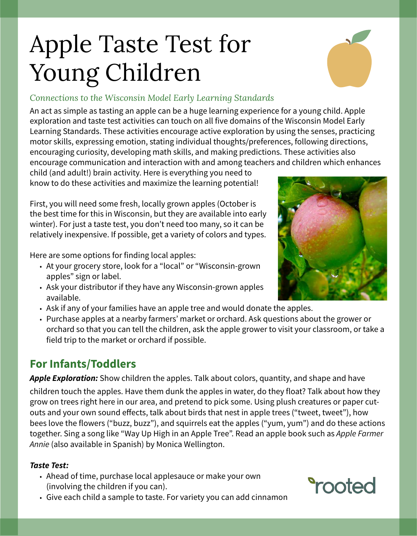# Apple Taste Test for Young Children



#### *Connections to the Wisconsin Model Early Learning Standards*

An act as simple as tasting an apple can be a huge learning experience for a young child. Apple exploration and taste test activities can touch on all five domains of the Wisconsin Model Early Learning Standards. These activities encourage active exploration by using the senses, practicing motor skills, expressing emotion, stating individual thoughts/preferences, following directions, encouraging curiosity, developing math skills, and making predictions. These activities also encourage communication and interaction with and among teachers and children which enhances

child (and adult!) brain activity. Here is everything you need to know to do these activities and maximize the learning potential!

First, you will need some fresh, locally grown apples (October is the best time for this in Wisconsin, but they are available into early winter). For just a taste test, you don't need too many, so it can be relatively inexpensive. If possible, get a variety of colors and types.

Here are some options for finding local apples:

- At your grocery store, look for a "local" or "Wisconsin-grown apples" sign or label.
- Ask your distributor if they have any Wisconsin-grown apples available.
- Ask if any of your families have an apple tree and would donate the apples.
- Purchase apples at a nearby farmers' market or orchard. Ask questions about the grower or orchard so that you can tell the children, ask the apple grower to visit your classroom, or take a field trip to the market or orchard if possible.

# **For Infants/Toddlers**

**Apple Exploration:** Show children the apples. Talk about colors, quantity, and shape and have children touch the apples. Have them dunk the apples in water, do they float? Talk about how they grow on trees right here in our area, and pretend to pick some. Using plush creatures or paper cutouts and your own sound effects, talk about birds that nest in apple trees ("tweet, tweet"), how bees love the flowers ("buzz, buzz"), and squirrels eat the apples ("yum, yum") and do these actions together. Sing a song like "Way Up High in an Apple Tree". Read an apple book such as Apple Farmer Annie (also available in Spanish) by Monica Wellington.

#### **Taste Test:**

- Ahead of time, purchase local applesauce or make your own (involving the children if you can).
- Give each child a sample to taste. For variety you can add cinnamon



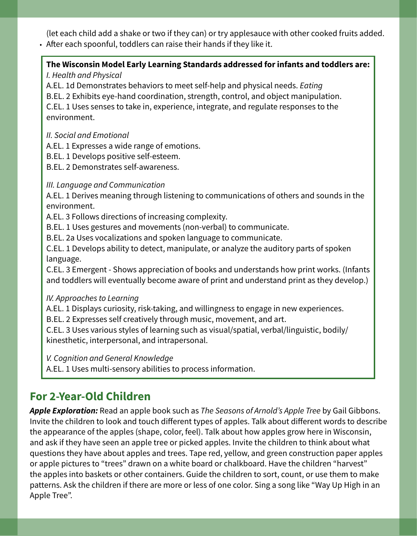(let each child add a shake or two if they can) or try applesauce with other cooked fruits added. • After each spoonful, toddlers can raise their hands if they like it.

#### **The Wisconsin Model Early Learning Standards addressed for infants and toddlers are:**

I. Health and Physical

A.EL. 1d Demonstrates behaviors to meet self-help and physical needs. Eating

B.EL. 2 Exhibits eye-hand coordination, strength, control, and object manipulation.

C.EL. 1 Uses senses to take in, experience, integrate, and regulate responses to the environment.

II. Social and Emotional

A.EL. 1 Expresses a wide range of emotions.

B.EL. 1 Develops positive self-esteem.

B.EL. 2 Demonstrates self-awareness.

#### III. Language and Communication

A.EL. 1 Derives meaning through listening to communications of others and sounds in the environment.

A.EL. 3 Follows directions of increasing complexity.

B.EL. 1 Uses gestures and movements (non-verbal) to communicate.

B.EL. 2a Uses vocalizations and spoken language to communicate.

C.EL. 1 Develops ability to detect, manipulate, or analyze the auditory parts of spoken language.

C.EL. 3 Emergent - Shows appreciation of books and understands how print works. (Infants and toddlers will eventually become aware of print and understand print as they develop.)

#### IV. Approaches to Learning

A.EL. 1 Displays curiosity, risk-taking, and willingness to engage in new experiences.

B.EL. 2 Expresses self creatively through music, movement, and art.

C.EL. 3 Uses various styles of learning such as visual/spatial, verbal/linguistic, bodily/ kinesthetic, interpersonal, and intrapersonal.

V. Cognition and General Knowledge

A.EL. 1 Uses multi-sensory abilities to process information.

# **For 2-Year-Old Children**

Apple Exploration: Read an apple book such as The Seasons of Arnold's Apple Tree by Gail Gibbons. Invite the children to look and touch different types of apples. Talk about different words to describe the appearance of the apples (shape, color, feel). Talk about how apples grow here in Wisconsin, and ask if they have seen an apple tree or picked apples. Invite the children to think about what questions they have about apples and trees. Tape red, yellow, and green construction paper apples or apple pictures to "trees" drawn on a white board or chalkboard. Have the children "harvest" the apples into baskets or other containers. Guide the children to sort, count, or use them to make patterns. Ask the children if there are more or less of one color. Sing a song like "Way Up High in an Apple Tree".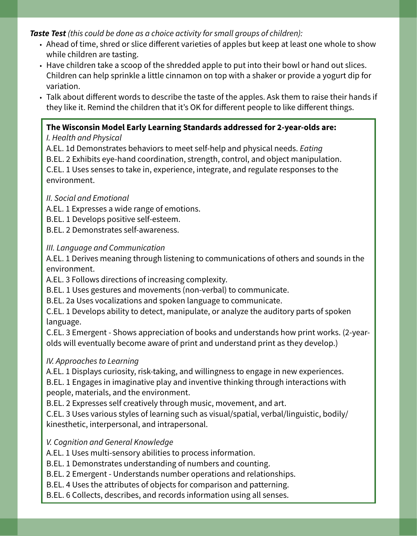**Taste Test** (this could be done as a choice activity for small groups of children):

- Ahead of time, shred or slice different varieties of apples but keep at least one whole to show while children are tasting.
- Have children take a scoop of the shredded apple to put into their bowl or hand out slices. Children can help sprinkle a little cinnamon on top with a shaker or provide a yogurt dip for variation.
- Talk about different words to describe the taste of the apples. Ask them to raise their hands if they like it. Remind the children that it's OK for different people to like different things.

#### **The Wisconsin Model Early Learning Standards addressed for 2-year-olds are:**

#### I. Health and Physical

A.EL. 1d Demonstrates behaviors to meet self-help and physical needs. Eating B.EL. 2 Exhibits eye-hand coordination, strength, control, and object manipulation. C.EL. 1 Uses senses to take in, experience, integrate, and regulate responses to the environment.

#### II. Social and Emotional

A.EL. 1 Expresses a wide range of emotions.

B.EL. 1 Develops positive self-esteem.

B.EL. 2 Demonstrates self-awareness.

#### III. Language and Communication

A.EL. 1 Derives meaning through listening to communications of others and sounds in the environment.

A.EL. 3 Follows directions of increasing complexity.

B.EL. 1 Uses gestures and movements (non-verbal) to communicate.

B.EL. 2a Uses vocalizations and spoken language to communicate.

C.EL. 1 Develops ability to detect, manipulate, or analyze the auditory parts of spoken language.

C.EL. 3 Emergent - Shows appreciation of books and understands how print works. (2-yearolds will eventually become aware of print and understand print as they develop.)

#### IV. Approaches to Learning

A.EL. 1 Displays curiosity, risk-taking, and willingness to engage in new experiences.

B.EL. 1 Engages in imaginative play and inventive thinking through interactions with people, materials, and the environment.

B.EL. 2 Expresses self creatively through music, movement, and art.

C.EL. 3 Uses various styles of learning such as visual/spatial, verbal/linguistic, bodily/ kinesthetic, interpersonal, and intrapersonal.

#### V. Cognition and General Knowledge

A.EL. 1 Uses multi-sensory abilities to process information.

B.EL. 1 Demonstrates understanding of numbers and counting.

B.EL. 2 Emergent - Understands number operations and relationships.

B.EL. 4 Uses the attributes of objects for comparison and patterning.

B.EL. 6 Collects, describes, and records information using all senses.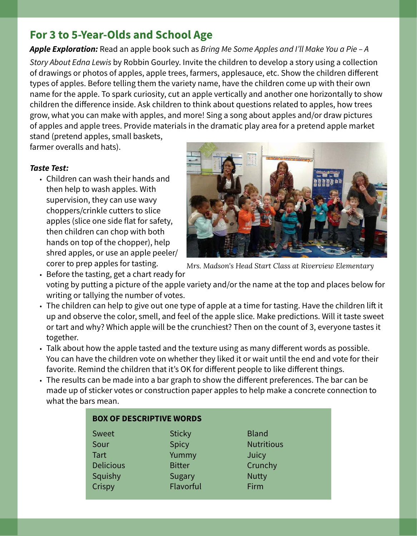## **For 3 to 5-Year-Olds and School Age**

**Apple Exploration:** Read an apple book such as Bring Me Some Apples and I'll Make You a Pie – A

Story About Edna Lewis by Robbin Gourley. Invite the children to develop a story using a collection of drawings or photos of apples, apple trees, farmers, applesauce, etc. Show the children different types of apples. Before telling them the variety name, have the children come up with their own name for the apple. To spark curiosity, cut an apple vertically and another one horizontally to show children the difference inside. Ask children to think about questions related to apples, how trees grow, what you can make with apples, and more! Sing a song about apples and/or draw pictures of apples and apple trees. Provide materials in the dramatic play area for a pretend apple market

stand (pretend apples, small baskets, farmer overalls and hats).

#### **Taste Test:**

• Children can wash their hands and then help to wash apples. With supervision, they can use wavy choppers/crinkle cutters to slice apples (slice one side flat for safety, then children can chop with both hands on top of the chopper), help shred apples, or use an apple peeler/ corer to prep apples for tasting.



*Mrs. Madson's Head Start Class at Riverview Elementary*

**us** 

• Before the tasting, get a chart ready for voting by putting a picture of the apple variety and/or the name at the top and places below for writing or tallying the number of votes.

- The children can help to give out one type of apple at a time for tasting. Have the children lift it up and observe the color, smell, and feel of the apple slice. Make predictions. Will it taste sweet or tart and why? Which apple will be the crunchiest? Then on the count of 3, everyone tastes it together.
- Talk about how the apple tasted and the texture using as many different words as possible. You can have the children vote on whether they liked it or wait until the end and vote for their favorite. Remind the children that it's OK for different people to like different things.
- The results can be made into a bar graph to show the different preferences. The bar can be made up of sticker votes or construction paper apples to help make a concrete connection to what the bars mean.

| <b>BOX OF DESCRIPTIVE WORDS</b> |               |              |
|---------------------------------|---------------|--------------|
| Sweet                           | <b>Sticky</b> | <b>Bland</b> |
| Sour                            | Spicy         | Nutritiou    |
| <b>Tart</b>                     | Yummy         | Juicy        |
| <b>Delicious</b>                | <b>Bitter</b> | Crunchy      |
| Squishy                         | <b>Sugary</b> | <b>Nutty</b> |
| Crispy                          | Flavorful     | Firm         |
|                                 |               |              |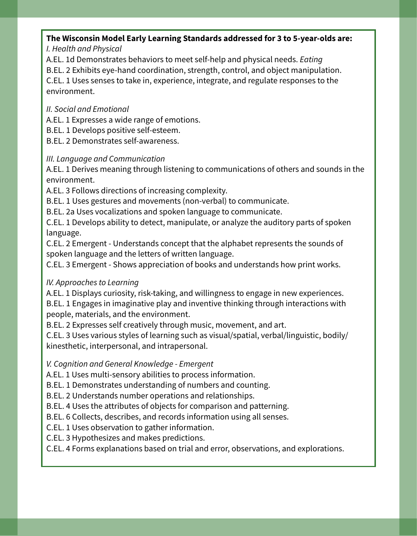# **The Wisconsin Model Early Learning Standards addressed for 3 to 5-year-olds are:**

I. Health and Physical

A.EL. 1d Demonstrates behaviors to meet self-help and physical needs. Eating

B.EL. 2 Exhibits eye-hand coordination, strength, control, and object manipulation. C.EL. 1 Uses senses to take in, experience, integrate, and regulate responses to the

#### II. Social and Emotional

environment.

A.EL. 1 Expresses a wide range of emotions.

B.EL. 1 Develops positive self-esteem.

B.EL. 2 Demonstrates self-awareness.

#### III. Language and Communication

A.EL. 1 Derives meaning through listening to communications of others and sounds in the environment.

A.EL. 3 Follows directions of increasing complexity.

B.EL. 1 Uses gestures and movements (non-verbal) to communicate.

B.EL. 2a Uses vocalizations and spoken language to communicate.

C.EL. 1 Develops ability to detect, manipulate, or analyze the auditory parts of spoken language.

C.EL. 2 Emergent - Understands concept that the alphabet represents the sounds of spoken language and the letters of written language.

C.EL. 3 Emergent - Shows appreciation of books and understands how print works.

#### IV. Approaches to Learning

A.EL. 1 Displays curiosity, risk-taking, and willingness to engage in new experiences. B.EL. 1 Engages in imaginative play and inventive thinking through interactions with people, materials, and the environment.

B.EL. 2 Expresses self creatively through music, movement, and art.

C.EL. 3 Uses various styles of learning such as visual/spatial, verbal/linguistic, bodily/ kinesthetic, interpersonal, and intrapersonal.

V. Cognition and General Knowledge - Emergent

A.EL. 1 Uses multi-sensory abilities to process information.

B.EL. 1 Demonstrates understanding of numbers and counting.

B.EL. 2 Understands number operations and relationships.

B.EL. 4 Uses the attributes of objects for comparison and patterning.

B.EL. 6 Collects, describes, and records information using all senses.

C.EL. 1 Uses observation to gather information.

C.EL. 3 Hypothesizes and makes predictions.

C.EL. 4 Forms explanations based on trial and error, observations, and explorations.